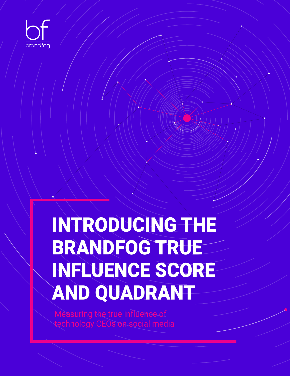

# INTRODUCING THE BRANDFOG TRUE INFLUENCE SCORE AND QUADRANT

Measuring the true influence of echnology CEOs on social media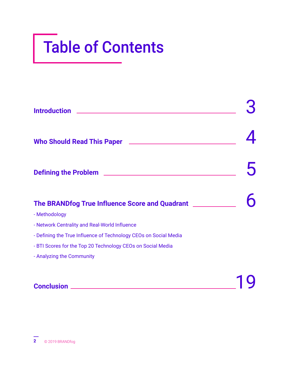# Table of Contents

| <b>Introduction</b>                                                                                               |  |
|-------------------------------------------------------------------------------------------------------------------|--|
| <b>Who Should Read This Paper</b>                                                                                 |  |
| Defining the Problem <u>_______________________</u>                                                               |  |
| The BRANDfog True Influence Score and Quadrant ______                                                             |  |
| - Methodology                                                                                                     |  |
| - Network Centrality and Real-World Influence<br>- Defining the True Influence of Technology CEOs on Social Media |  |
| - BTI Scores for the Top 20 Technology CEOs on Social Media                                                       |  |
| - Analyzing the Community                                                                                         |  |
| <b>Conclusion</b>                                                                                                 |  |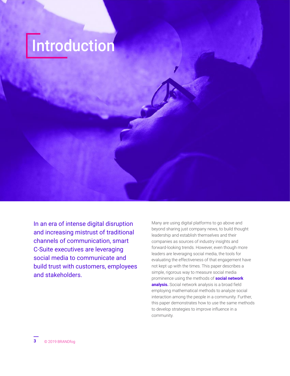# **Introduction**

In an era of intense digital disruption and increasing mistrust of traditional channels of communication, smart C-Suite executives are leveraging social media to communicate and build trust with customers, employees and stakeholders.

Many are using digital platforms to go above and beyond sharing just company news, to build thought leadership and establish themselves and their companies as sources of industry insights and forward-looking trends. However, even though more leaders are leveraging social media, the tools for evaluating the effectiveness of that engagement have not kept up with the times. This paper describes a simple, rigorous way to measure social media prominence using the methods of **social network analysis.** Social network analysis is a broad field employing mathematical methods to analyze social interaction among the people in a community. Further, this paper demonstrates how to use the same methods to develop strategies to improve influence in a community.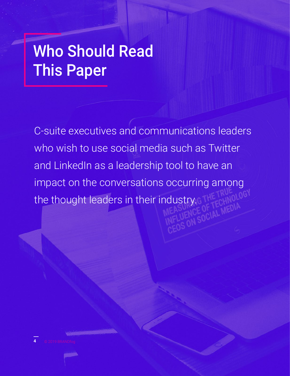## Who Should Read This Paper

C-suite executives and communications leaders who wish to use social media such as Twitter and LinkedIn as a leadership tool to have an impact on the conversations occurring among the thought leaders in their industry.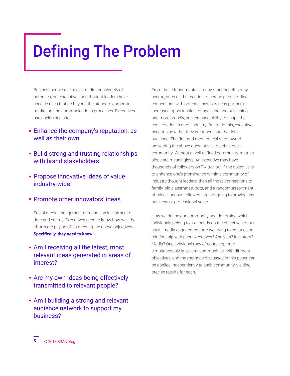## Defining The Problem

Businesspeople use social media for a variety of purposes, but executives and thought leaders have specific uses that go beyond the standard corporate marketing and communications processes. Executives use social media to:

- Enhance the company's reputation, as well as their own.
- Build strong and trusting relationships with brand stakeholders.
- Propose innovative ideas of value industry-wide.
- Promote other innovators' ideas.

Social media engagement demands an investment of time and energy. Executives need to know how well their efforts are paying off in meeting the above objectives. **Specifically, they need to know:**

- Am I receiving all the latest, most relevant ideas generated in areas of interest?
- Are my own ideas being effectively transmitted to relevant people?
- Am I building a strong and relevant audience network to support my business?

**Business**<br>business busines coolid media for a variety of  $\frac{1}{2}$  from these fundamentals, may other fereids may<br>space that searching benefits a standard corporate and the compact of the control of the material and the p accrue, such as the creation of serendipitous offline connections with potential new business partners, increased opportunities for speaking and publishing, and more broadly, an increased ability to shape the conversation in one's industry. But to do this, executives need to know that they are tuned in to the right audience. The first and most crucial step toward answering the above questions is to define one's community. Without a well-defined community, metrics alone are meaningless. An executive may have thousands of followers on Twitter, but if the objective is to enhance one's prominence within a community of industry thought leaders, then all those connections to family, old classmates, bots, and a random assortment of miscellaneous followers are not going to provide any business or professional value.

How we define our community and determine which individuals belong to it depends on the objectives of our social media engagement. Are we trying to enhance our relationship with peer executives? Analysts? Investors? Media? One individual may of course operate simultaneously in several communities, with different objectives, and the methods discussed in this paper can be applied independently to each community, yielding precise results for each.

© 2019 BRANDfog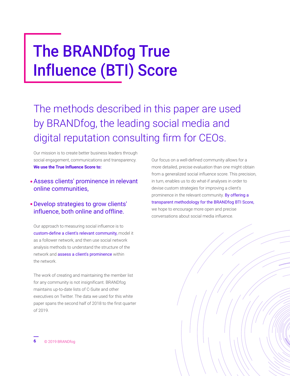## The BRANDfog True Influence (BTI) Score

The methods described in this paper are used by BRANDfog, the leading social media and digital reputation consulting firm for CEOs.

Our mission is to create better business leaders through social engagement, communications and transparency. **We use the True Influence Score to:**

#### Assess clients' prominence in relevant online communities,

Develop strategies to grow clients' influence, both online and offline.

Our approach to measuring social influence is to custom-define a client's relevant community, model it as a follower network, and then use social network analysis methods to understand the structure of the network and **assess a client's prominence** within the network.

The work of creating and maintaining the member list for any community is not insignificant. BRANDfog maintains up-to-date lists of C-Suite and other executives on Twitter. The data we used for this white paper spans the second half of 2018 to the first quarter of 2019.

Our focus on a well-defined community allows for a more detailed, precise evaluation than one might obtain from a generalized social influence score. This precision, in turn, enables us to do what-if analyses in order to devise custom strategies for improving a client's prominence in the relevant community. By offering a transparent methodology for the BRANDfog BTI Score, we hope to encourage more open and precise conversations about social media influence.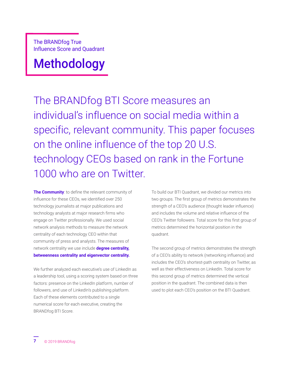### **Methodology**

The BRANDfog BTI Score measures an individual's influence on social media within a specific, relevant community. This paper focuses on the online influence of the top 20 U.S. technology CEOs based on rank in the Fortune 1000 who are on Twitter.

**The Community**: to define the relevant community of influence for these CEOs, we identified over 250 technology journalists at major publications and technology analysts at major research firms who engage on Twitter professionally. We used social network analysis methods to measure the network centrality of each technology CEO within that community of press and analysts. The measures of network centrality we use include **degree centrality, betweenness centrality and eigenvector centrality.** 

We further analyzed each executive's use of LinkedIn as a leadership tool, using a scoring system based on three factors: presence on the LinkedIn platform, number of followers, and use of LinkedIn's publishing platform. Each of these elements contributed to a single numerical score for each executive, creating the BRANDfog BTI Score.

To build our BTI Quadrant, we divided our metrics into two groups. The first group of metrics demonstrates the strength of a CEO's audience (thought leader influence) and includes the volume and relative influence of the CEO's Twitter followers. Total score for this first group of metrics determined the horizontal position in the quadrant.

The second group of metrics demonstrates the strength of a CEO's ability to network (networking influence) and includes the CEO's shortest-path centrality on Twitter, as well as their effectiveness on LinkedIn. Total score for this second group of metrics determined the vertical position in the quadrant. The combined data is then used to plot each CEO's position on the BTI Quadrant.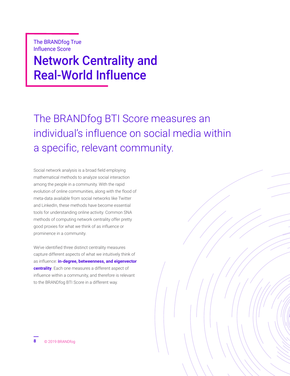### Network Centrality and Real-World Influence

The BRANDfog BTI Score measures an individual's influence on social media within a specific, relevant community.

Social network analysis is a broad field employing mathematical methods to analyze social interaction among the people in a community. With the rapid evolution of online communities, along with the flood of meta-data available from social networks like Twitter and LinkedIn, these methods have become essential tools for understanding online activity. Common SNA methods of computing network centrality offer pretty good proxies for what we think of as influence or prominence in a community.

We've identified three distinct centrality measures capture different aspects of what we intuitively think of as influence: **in-degree, betweenness, and eigenvector centrality**. Each one measures a different aspect of influence within a community, and therefore is relevant to the BRANDfog BTI Score in a different way.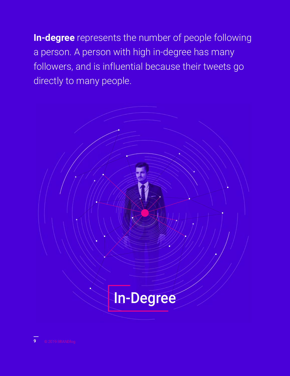**In-degree** represents the number of people following a person. A person with high in-degree has many followers, and is influential because their tweets go directly to many people.

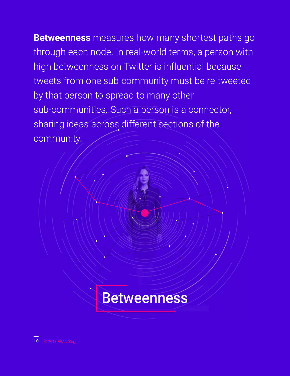**Betweenness** measures how many shortest paths go through each node. In real-world terms, a person with high betweenness on Twitter is influential because tweets from one sub-community must be re-tweeted by that person to spread to many other sub-communities. Such a person is a connector, sharing ideas across different sections of the community.

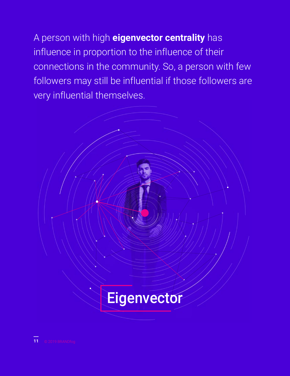A person with high **eigenvector centrality** has influence in proportion to the influence of their connections in the community. So, a person with few followers may still be influential if those followers are very influential themselves.

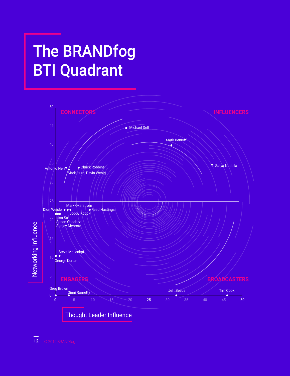## The BRANDfog BTI Quadrant

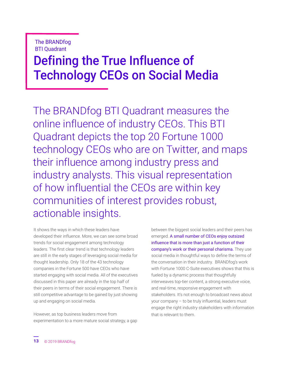#### The BRANDfog BTI Quadrant

### Defining the True Influence of Technology CEOs on Social Media

The BRANDfog BTI Quadrant measures the online influence of industry CEOs. This BTI Quadrant depicts the top 20 Fortune 1000 technology CEOs who are on Twitter, and maps their influence among industry press and industry analysts. This visual representation of how influential the CEOs are within key communities of interest provides robust, actionable insights.

It shows the ways in which these leaders have developed their influence. More, we can see some broad trends for social engagement among technology leaders. The first clear trend is that technology leaders are still in the early stages of leveraging social media for thought leadership. Only 18 of the 43 technology companies in the Fortune 500 have CEOs who have started engaging with social media. All of the executives discussed in this paper are already in the top half of their peers in terms of their social engagement. There is still competitive advantage to be gained by just showing up and engaging on social media.

However, as top business leaders move from experimentation to a more mature social strategy, a gap between the biggest social leaders and their peers has emerged. A small number of CEOs enjoy outsized influence that is more than just a function of their company's work or their personal charisma. They use social media in thoughtful ways to define the terms of the conversation in their industry. BRANDfog's work with Fortune 1000 C-Suite executives shows that this is fueled by a dynamic process that thoughtfully interweaves top-tier content, a strong executive voice, and real-time, responsive engagement with stakeholders. It's not enough to broadcast news about your company – to be truly influential, leaders must engage the right industry stakeholders with information that is relevant to them.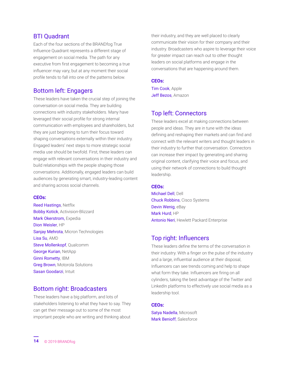#### BTI Quadrant

Each of the four sections of the BRANDfog True Influence Quadrant represents a different stage of engagement on social media. The path for any executive from first engagement to becoming a true influencer may vary, but at any moment their social profile tends to fall into one of the patterns below.

#### Bottom left: Engagers

These leaders have taken the crucial step of joining the conversation on social media. They are building connections with industry stakeholders. Many have leveraged their social profile for strong internal communication with employees and shareholders, but they are just beginning to turn their focus toward shaping conversations externally within their industry. Engaged leaders' next steps to more strategic social media use should be twofold. First, these leaders can engage with relevant conversations in their industry and build relationships with the people shaping those conversations. Additionally, engaged leaders can build audiences by generating smart, industry-leading content and sharing across social channels.

#### **CEOs:**

Reed Hastings, Netflix Bobby Kotick, Activision-Blizzard Mark Okerstrom, Expedia Dion Weisler, HP Sanjay Mehrota, Micron Technologies Lisa Su, AMD Steve Mollenkopf, Qualcomm George Kurian, NetApp Ginni Rometty, IBM **Greg Brown**, Motorola Solutions Sasan Goodarzi, Intuit

#### Bottom right: Broadcasters

These leaders have a big platform, and lots of stakeholders listening to what they have to say. They can get their message out to some of the most important people who are writing and thinking about

their industry, and they are well placed to clearly communicate their vision for their company and their industry. Broadcasters who aspire to leverage their voice for greater impact can reach out to other thought leaders on social platforms and engage in the conversations that are happening around them.

#### **CEOs:**

Tim Cook, Apple Jeff Bezos, Amazon

#### Top left: Connectors

These leaders excel at making connections between people and ideas. They are in tune with the ideas defining and reshaping their markets and can find and connect with the relevant writers and thought leaders in their industry to further that conversation. Connectors can increase their impact by generating and sharing original content, clarifying their voice and focus, and using their network of connections to build thought leadership.

#### **CEOs:**

Michael Dell, Dell Chuck Robbins, Cisco Systems Devin Wenig, eBay Mark Hurd, HP Antonio Neri, Hewlett Packard Enterprise

#### Top right: Influencers

These leaders define the terms of the conversation in their industry. With a finger on the pulse of the industry and a large, influential audience at their disposal, Influencers can see trends coming and help to shape what form they take. Influencers are firing on all cylinders, taking the best advantage of the Twitter and LinkedIn platforms to effectively use social media as a leadership tool.

#### **CEOs:**

Satya Nadella, Microsoft Mark Benioff, Salesforce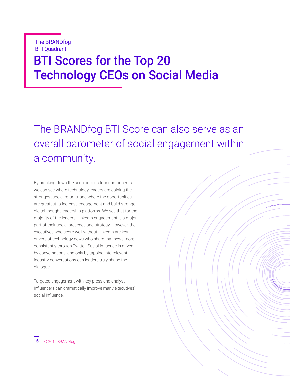### BTI Scores for the Top 20 Technology CEOs on Social Media The BRANDfog BTI Quadrant

The BRANDfog BTI Score can also serve as an overall barometer of social engagement within a community.

By breaking down the score into its four components, we can see where technology leaders are gaining the strongest social returns, and where the opportunities are greatest to increase engagement and build stronger digital thought leadership platforms. We see that for the majority of the leaders, LinkedIn engagement is a major part of their social presence and strategy. However, the executives who score well without LinkedIn are key drivers of technology news who share that news more consistently through Twitter. Social influence is driven by conversations, and only by tapping into relevant industry conversations can leaders truly shape the dialogue.

Targeted engagement with key press and analyst influencers can dramatically improve many executives' social influence.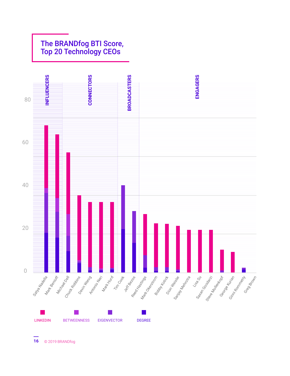



© 2019 BRANDfog **16**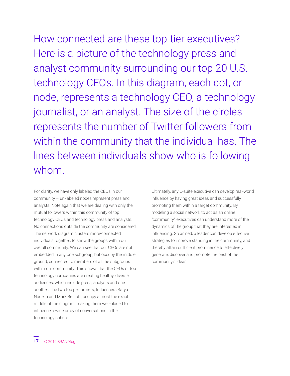How connected are these top-tier executives? Here is a picture of the technology press and analyst community surrounding our top 20 U.S. technology CEOs. In this diagram, each dot, or node, represents a technology CEO, a technology journalist, or an analyst. The size of the circles represents the number of Twitter followers from within the community that the individual has. The lines between individuals show who is following whom.

For clarity, we have only labeled the CEOs in our community – un-labeled nodes represent press and analysts. Note again that we are dealing with only the mutual followers within this community of top technology CEOs and technology press and analysts. No connections outside the community are considered. The network diagram clusters more-connected individuals together, to show the groups within our overall community. We can see that our CEOs are not embedded in any one subgroup, but occupy the middle ground, connected to members of all the subgroups within our community. This shows that the CEOs of top technology companies are creating healthy, diverse audiences, which include press, analysts and one another. The two top performers, Influencers Satya Nadella and Mark Benioff, occupy almost the exact middle of the diagram, making them well-placed to influence a wide array of conversations in the technology sphere.

Ultimately, any C-suite executive can develop real-world influence by having great ideas and successfully promoting them within a target community. By modeling a social network to act as an online "community," executives can understand more of the dynamics of the group that they are interested in influencing. So armed, a leader can develop effective strategies to improve standing in the community, and thereby attain sufficient prominence to effectively generate, discover and promote the best of the community's ideas.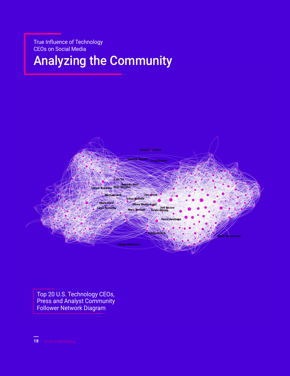True Influence of Technology CEOs on Social Media

### Analyzing the Community



Top 20 U.S. Technology CEOs, Press and Analyst Community Follower Network Diagram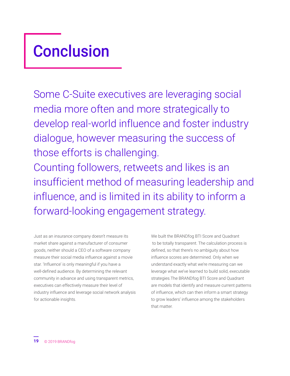## **Conclusion**

Some C-Suite executives are leveraging social media more often and more strategically to develop real-world influence and foster industry dialogue, however measuring the success of those efforts is challenging.

Counting followers, retweets and likes is an insufficient method of measuring leadership and influence, and is limited in its ability to inform a forward-looking engagement strategy.

Just as an insurance company doesn't measure its market share against a manufacturer of consumer goods, neither should a CEO of a software company measure their social media influence against a movie star. 'Influence' is only meaningful if you have a well-defined audience. By determining the relevant community in advance and using transparent metrics, executives can effectively measure their level of industry influence and leverage social network analysis for actionable insights.

We built the BRANDfog BTI Score and Quadrant to be totally transparent. The calculation process is defined, so that there's no ambiguity about how influence scores are determined. Only when we understand exactly what we're measuring can we leverage what we've learned to build solid, executable strategies.The BRANDfog BTI Score and Quadrant are models that identify and measure current patterns of influence, which can then inform a smart strategy to grow leaders' influence among the stakeholders that matter.